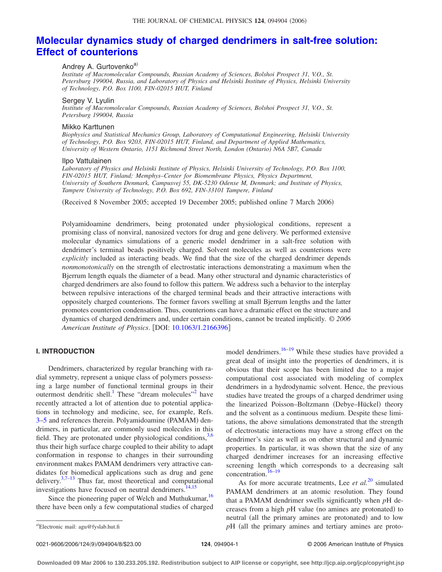# **[Molecular dynamics study of charged dendrimers in salt-free solution:](http://dx.doi.org/10.1063/1.2166396) [Effect of counterions](http://dx.doi.org/10.1063/1.2166396)**

# Andrey A. Gurtovenko<sup>a)</sup>

*Institute of Macromolecular Compounds, Russian Academy of Sciences, Bolshoi Prospect 31, V.O., St. Petersburg 199004, Russia, and Laboratory of Physics and Helsinki Institute of Physics, Helsinki University of Technology, P.O. Box 1100, FIN-02015 HUT, Finland*

#### Sergey V. Lyulin

*Institute of Macromolecular Compounds, Russian Academy of Sciences, Bolshoi Prospect 31, V.O., St. Petersburg 199004, Russia*

# Mikko Karttunen

*Biophysics and Statistical Mechanics Group, Laboratory of Computational Engineering, Helsinki University of Technology, P.O. Box 9203, FIN-02015 HUT, Finland, and Department of Applied Mathematics, University of Western Ontario, 1151 Richmond Street North, London (Ontario) N6A 5B7, Canada*

#### Ilpo Vattulainen

*Laboratory of Physics and Helsinki Institute of Physics, Helsinki University of Technology, P.O. Box 1100, FIN-02015 HUT, Finland; Memphys–Center for Biomembrane Physics, Physics Department, University of Southern Denmark, Campusvej 55, DK-5230 Odense M, Denmark; and Institute of Physics, Tampere University of Technology, P.O. Box 692, FIN-33101 Tampere, Finland*

(Received 8 November 2005; accepted 19 December 2005; published online 7 March 2006)

Polyamidoamine dendrimers, being protonated under physiological conditions, represent a promising class of nonviral, nanosized vectors for drug and gene delivery. We performed extensive molecular dynamics simulations of a generic model dendrimer in a salt-free solution with dendrimer's terminal beads positively charged. Solvent molecules as well as counterions were *explicitly* included as interacting beads. We find that the size of the charged dendrimer depends *nonmonotonically* on the strength of electrostatic interactions demonstrating a maximum when the Bjerrum length equals the diameter of a bead. Many other structural and dynamic characteristics of charged dendrimers are also found to follow this pattern. We address such a behavior to the interplay between repulsive interactions of the charged terminal beads and their attractive interactions with oppositely charged counterions. The former favors swelling at small Bjerrum lengths and the latter promotes counterion condensation. Thus, counterions can have a dramatic effect on the structure and dynamics of charged dendrimers and, under certain conditions, cannot be treated implicitly. © *2006 American Institute of Physics*. DOI: [10.1063/1.2166396](http://dx.doi.org/10.1063/1.2166396)

# **I. INTRODUCTION**

Dendrimers, characterized by regular branching with radial symmetry, represent a unique class of polymers possessing a large number of functional terminal groups in their outermost dendritic shell.<sup>1</sup> These "dream molecules"<sup>2</sup> have recently attracted a lot of attention due to potential applications in technology and medicine, see, for example, Refs. 3-5 and references therein. Polyamidoamine (PAMAM) dendrimers, in particular, are commonly used molecules in this field. They are protonated under physiological conditions,  $3,6$ thus their high surface charge coupled to their ability to adapt conformation in response to changes in their surrounding environment makes PAMAM dendrimers very attractive candidates for biomedical applications such as drug and gene delivery. $37-13$  Thus far, most theoretical and computational investigations have focused on neutral dendrimers.<sup>14,15</sup>

Since the pioneering paper of Welch and Muthukumar,<sup>16</sup> there have been only a few computational studies of charged

model dendrimers.<sup>16–19</sup> While these studies have provided a great deal of insight into the properties of dendrimers, it is obvious that their scope has been limited due to a major computational cost associated with modeling of complex dendrimers in a hydrodynamic solvent. Hence, the previous studies have treated the groups of a charged dendrimer using the linearized Poisson-Boltzmann (Debye-Hückel) theory and the solvent as a continuous medium. Despite these limitations, the above simulations demonstrated that the strength of electrostatic interactions may have a strong effect on the dendrimer's size as well as on other structural and dynamic properties. In particular, it was shown that the size of any charged dendrimer increases for an increasing effective screening length which corresponds to a decreasing salt concentration[.16–19](#page-7-0)

As for more accurate treatments, Lee *et al.*[20](#page-7-0) simulated PAMAM dendrimers at an atomic resolution. They found that a PAMAM dendrimer swells significantly when *p*H decreases from a high  $pH$  value (no amines are protonated) to neutral (all the primary amines are protonated) and to low  $pH$  (all the primary amines and tertiary amines are proto-

0021-9606/2006/124(9)/094904/8/\$23.00

Electronic mail: agu@fyslab.hut.fi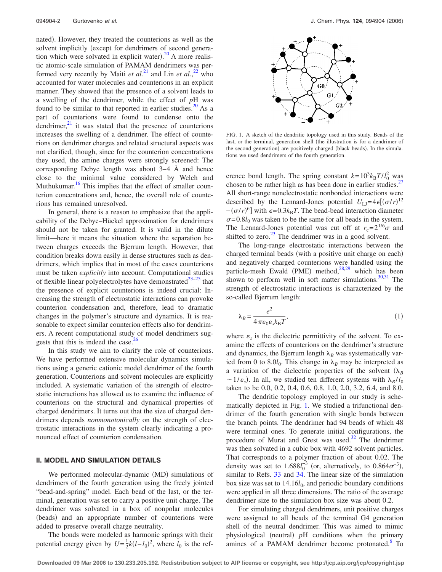nated). However, they treated the counterions as well as the solvent implicitly (except for dendrimers of second generation which were solvated in explicit water). $20$  A more realistic atomic-scale simulation of PAMAM dendrimers was performed very recently by Maiti *et al.*<sup>[21](#page-7-0)</sup> and Lin *et al.*,<sup>[22](#page-7-0)</sup> who accounted for water molecules and counterions in an explicit manner. They showed that the presence of a solvent leads to a swelling of the dendrimer, while the effect of *p*H was found to be similar to that reported in earlier studies. $^{20}$  As a part of counterions were found to condense onto the dendrimer, $^{21}$  it was stated that the presence of counterions increases the swelling of a dendrimer. The effect of counterions on dendrimer charges and related structural aspects was not clarified, though, since for the counterion concentrations they used, the amine charges were strongly screened: The corresponding Debye length was about 3–4 Å and hence close to the minimal value considered by Welch and Muthukumar.<sup>16</sup> This implies that the effect of smaller counterion concentrations and, hence, the overall role of counterions has remained unresolved.

In general, there is a reason to emphasize that the applicability of the Debye–Hückel approximation for dendrimers should not be taken for granted. It is valid in the dilute limit—here it means the situation where the separation between charges exceeds the Bjerrum length. However, that condition breaks down easily in dense structures such as dendrimers, which implies that in most of the cases counterions must be taken *explicitly* into account. Computational studies of flexible linear polyelectrolytes have demonstrated $^{23-25}$  that the presence of explicit counterions is indeed crucial: Increasing the strength of electrostatic interactions can provoke counterion condensation and, therefore, lead to dramatic changes in the polymer's structure and dynamics. It is reasonable to expect similar counterion effects also for dendrimers. A recent computational study of model dendrimers suggests that this is indeed the case.<sup>2</sup>

In this study we aim to clarify the role of counterions. We have performed extensive molecular dynamics simulations using a generic cationic model dendrimer of the fourth generation. Counterions and solvent molecules are explicitly included. A systematic variation of the strength of electrostatic interactions has allowed us to examine the influence of counterions on the structural and dynamical properties of charged dendrimers. It turns out that the size of charged dendrimers depends *nonmonotonically* on the strength of electrostatic interactions in the system clearly indicating a pronounced effect of counterion condensation.

## **II. MODEL AND SIMULATION DETAILS**

We performed molecular-dynamic (MD) simulations of dendrimers of the fourth generation using the freely jointed "bead-and-spring" model. Each bead of the last, or the terminal, generation was set to carry a positive unit charge. The dendrimer was solvated in a box of nonpolar molecules (beads) and an appropriate number of counterions were added to preserve overall charge neutrality.

The bonds were modeled as harmonic springs with their potential energy given by  $U = \frac{1}{2}k(l - l_0)^2$ , where  $\bar{l}_0$  is the ref-



FIG. 1. A sketch of the dendritic topology used in this study. Beads of the last, or the terminal, generation shell (the illustration is for a dendrimer of the second generation) are positively charged (black beads). In the simulations we used dendrimers of the fourth generation.

erence bond length. The spring constant  $k=10^3 k_B T/l_0^2$  was chosen to be rather high as has been done in earlier studies.<sup>27</sup> All short-range nonelectrostatic nonbonded interactions were described by the Lennard-Jones potential  $U_{\text{LJ}} = 4\epsilon [(\sigma/r)^{12}]$  $-(\sigma/r)^6$ ] with  $\epsilon$ =0.3 $k_B T$ . The bead-bead interaction diameter  $\sigma = 0.8l_0$  was taken to be the same for all beads in the system. The Lennard-Jones potential was cut off at  $r_c = 2^{1/6}\sigma$  and shifted to zero. $^{23}$  The dendrimer was in a good solvent.

The long-range electrostatic interactions between the charged terminal beads (with a positive unit charge on each) and negatively charged counterions were handled using the particle-mesh Ewald (PME) method,<sup>28,29</sup> which has been shown to perform well in soft matter simulations. $30,31$  The strength of electrostatic interactions is characterized by the so-called Bjerrum length:

$$
\lambda_B = \frac{e^2}{4\pi\varepsilon_0 \varepsilon_s k_B T},\tag{1}
$$

where  $\varepsilon$ <sub>s</sub> is the dielectric permittivity of the solvent. To examine the effects of counterions on the dendrimer's structure and dynamics, the Bjerrum length  $\lambda_B$  was systematically varied from 0 to 8.0 $l_0$ . This change in  $\lambda_B$  may be interpreted as a variation of the dielectric properties of the solvent  $(\lambda_B)$  $\sim$  1/ $\varepsilon$ <sub>s</sub>). In all, we studied ten different systems with  $\lambda_B$ /*l*<sub>0</sub> taken to be 0.0, 0.2, 0.4, 0.6, 0.8, 1.0, 2.0, 3.2, 6.4, and 8.0.

The dendritic topology employed in our study is schematically depicted in Fig. 1. We studied a trifunctional dendrimer of the fourth generation with single bonds between the branch points. The dendrimer had 94 beads of which 48 were terminal ones. To generate initial configurations, the procedure of Murat and Grest was used. $32$  The dendrimer was then solvated in a cubic box with 4692 solvent particles. That corresponds to a polymer fraction of about 0.02. The density was set to  $1.688l_0^{-3}$  (or, alternatively, to  $0.864\sigma^{-3}$ ), similar to Refs. [33](#page-7-0) and [34.](#page-7-0) The linear size of the simulation box size was set to  $14.16*l*<sub>0</sub>$ , and periodic boundary conditions were applied in all three dimensions. The ratio of the average dendrimer size to the simulation box size was about 0.2.

For simulating charged dendrimers, unit positive charges were assigned to all beads of the terminal G4 generation shell of the neutral dendrimer. This was aimed to mimic physiological (neutral) pH conditions when the primary amines of a PAMAM dendrimer become protonated.<sup>6</sup> To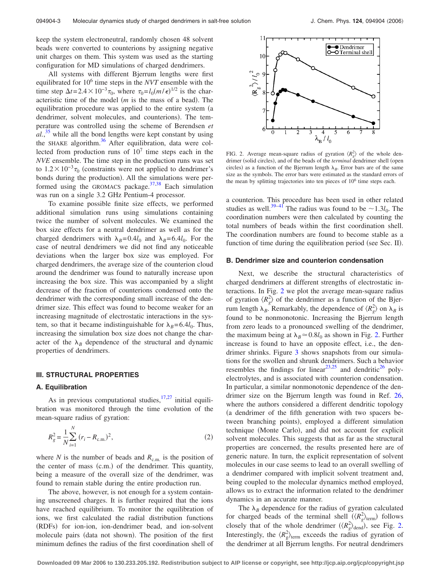<span id="page-2-0"></span>keep the system electroneutral, randomly chosen 48 solvent beads were converted to counterions by assigning negative unit charges on them. This system was used as the starting configuration for MD simulations of charged dendrimers.

All systems with different Bjerrum lengths were first equilibrated for 106 time steps in the *NVT* ensemble with the time step  $\Delta t = 2.4 \times 10^{-3} \tau_0$ , where  $\tau_0 = l_0(m/\epsilon)^{1/2}$  is the characteristic time of the model (*m* is the mass of a bead). The equilibration procedure was applied to the entire system (a dendrimer, solvent molecules, and counterions). The temperature was controlled using the scheme of Berendsen *et al.*, [35](#page-7-0) while all the bond lengths were kept constant by using the SHAKE algorithm.<sup>36</sup> After equilibration, data were collected from production runs of  $10<sup>7</sup>$  time steps each in the *NVE* ensemble. The time step in the production runs was set to  $1.2 \times 10^{-3} \tau_0$  (constraints were not applied to dendrimer's bonds during the production). All the simulations were performed using the GROMACS package. $37,38$  Each simulation was run on a single 3.2 GHz Pentium-4 processor.

To examine possible finite size effects, we performed additional simulation runs using simulations containing twice the number of solvent molecules. We examined the box size effects for a neutral dendrimer as well as for the charged dendrimers with  $\lambda_B=0.4l_0$  and  $\lambda_B=6.4l_0$ . For the case of neutral dendrimers we did not find any noticeable deviations when the larger box size was employed. For charged dendrimers, the average size of the counterion cloud around the dendrimer was found to naturally increase upon increasing the box size. This was accompanied by a slight decrease of the fraction of counterions condensed onto the dendrimer with the corresponding small increase of the dendrimer size. This effect was found to become weaker for an increasing magnitude of electrostatic interactions in the system, so that it became indistinguishable for  $\lambda_B=6.4l_0$ . Thus, increasing the simulation box size does not change the character of the  $\lambda_B$  dependence of the structural and dynamic properties of dendrimers.

# **III. STRUCTURAL PROPERTIES**

## **A. Equilibration**

As in previous computational studies,  $17,27$  initial equilibration was monitored through the time evolution of the mean-square radius of gyration:

$$
R_g^2 = \frac{1}{N} \sum_{i=1}^{N} (r_i - R_{\text{c.m.}})^2,
$$
\n(2)

where *N* is the number of beads and  $R_{c.m.}$  is the position of the center of mass (c.m.) of the dendrimer. This quantity, being a measure of the overall size of the dendrimer, was found to remain stable during the entire production run.

The above, however, is not enough for a system containing unscreened charges. It is further required that the ions have reached equilibrium. To monitor the equilibration of ions, we first calculated the radial distribution functions (RDFs) for ion-ion, ion-dendrimer bead, and ion-solvent molecule pairs (data not shown). The position of the first minimum defines the radius of the first coordination shell of



FIG. 2. Average mean-square radius of gyration  $\langle R_g^2 \rangle$  of the whole dendrimer (solid circles), and of the beads of the *terminal* dendrimer shell (open circles) as a function of the Bjerrum length  $\lambda_B$ . Error bars are of the same size as the symbols. The error bars were estimated as the standard errors of the mean by splitting trajectories into ten pieces of 106 time steps each.

a counterion. This procedure has been used in other related studies as well.<sup>39–41</sup> The radius was found to be  $\sim$ 1.3*l*<sub>0</sub>. The coordination numbers were then calculated by counting the total numbers of beads within the first coordination shell. The coordination numbers are found to become stable as a function of time during the equilibration period (see Sec. II).

## **B. Dendrimer size and counterion condensation**

Next, we describe the structural characteristics of charged dendrimers at different strengths of electrostatic interactions. In Fig. 2 we plot the average mean-square radius of gyration  $\langle R_g^2 \rangle$  of the dendrimer as a function of the Bjerrum length  $\lambda_B$ . Remarkably, the dependence of  $\langle R_g^2 \rangle$  on  $\lambda_B$  is found to be nonmonotonic. Increasing the Bjerrum length from zero leads to a pronounced swelling of the dendrimer, the maximum being at  $\lambda_B \approx 0.8 l_0$  as shown in Fig. 2. Further increase is found to have an opposite effect, i.e., the dendrimer shrinks. Figure [3](#page-3-0) shows snapshots from our simulations for the swollen and shrunk dendrimers. Such a behavior resembles the findings for linear<sup>23,25</sup> and dendritic<sup>26</sup> polyelectrolytes, and is associated with counterion condensation. In particular, a similar nonmonotonic dependence of the dendrimer size on the Bjerrum length was found in Ref. [26,](#page-7-0) where the authors considered a different dendritic topology a dendrimer of the fifth generation with two spacers between branching points), employed a different simulation technique (Monte Carlo), and did not account for explicit solvent molecules. This suggests that as far as the structural properties are concerned, the results presented here are of generic nature. In turn, the explicit representation of solvent molecules in our case seems to lead to an overall swelling of a dendrimer compared with implicit solvent treatment and, being coupled to the molecular dynamics method employed, allows us to extract the information related to the dendrimer dynamics in an accurate manner.

The  $\lambda_B$  dependence for the radius of gyration calculated for charged beads of the terminal shell  $(\langle R_g^2 \rangle_{\text{term}})$  follows closely that of the whole dendrimer  $(\langle R_g^2 \rangle_{\text{dend}})$ , see Fig. 2. Interestingly, the  $\langle R_g^2 \rangle_{\text{term}}$  exceeds the radius of gyration of the dendrimer at all Bjerrum lengths. For neutral dendrimers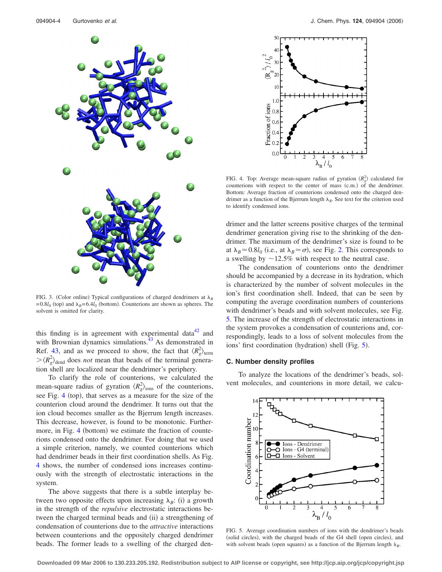<span id="page-3-0"></span>

FIG. 3. (Color online) Typical configurations of charged dendrimers at  $\lambda_B$  $=0.8l_0$  (top) and  $\lambda_B$ =6.4*l*<sub>0</sub> (bottom). Counterions are shown as spheres. The solvent is omitted for clarity.

this finding is in agreement with experimental data $42$  and with Brownian dynamics simulations. $43$  As demonstrated in Ref. [43,](#page-7-0) and as we proceed to show, the fact that  $\langle R_g^2 \rangle_{\text{term}}$  $\langle R_g^2 \rangle_{\text{dend}}$  does *not* mean that beads of the terminal generation shell are localized near the dendrimer's periphery.

To clarify the role of counterions, we calculated the mean-square radius of gyration  $\langle R_g^2 \rangle_{\text{ions}}$  of the counterions, see Fig. 4 (top), that serves as a measure for the size of the counterion cloud around the dendrimer. It turns out that the ion cloud becomes smaller as the Bjerrum length increases. This decrease, however, is found to be monotonic. Furthermore, in Fig. 4 (bottom) we estimate the fraction of counterions condensed onto the dendrimer. For doing that we used a simple criterion, namely, we counted counterions which had dendrimer beads in their first coordination shells. As Fig. 4 shows, the number of condensed ions increases continuously with the strength of electrostatic interactions in the system.

The above suggests that there is a subtle interplay between two opposite effects upon increasing  $\lambda_B$ : (i) a growth in the strength of the *repulsive* electrostatic interactions between the charged terminal beads and (ii) a strengthening of condensation of counterions due to the *attractive* interactions between counterions and the oppositely charged dendrimer beads. The former leads to a swelling of the charged den-



FIG. 4. Top: Average mean-square radius of gyration  $\langle R_g^2 \rangle$  calculated for counterions with respect to the center of mass (c.m.) of the dendrimer. Bottom: Average fraction of counterions condensed onto the charged dendrimer as a function of the Bjerrum length  $\lambda_B$ . See text for the criterion used to identify condensed ions.

drimer and the latter screens positive charges of the terminal dendrimer generation giving rise to the shrinking of the dendrimer. The maximum of the dendrimer's size is found to be at  $\lambda_B \approx 0.8 l_0$  (i.e., at  $\lambda_B \approx \sigma$ ), see Fig. [2.](#page-2-0) This corresponds to a swelling by  $\sim$ 12.5% with respect to the neutral case.

The condensation of counterions onto the dendrimer should be accompanied by a decrease in its hydration, which is characterized by the number of solvent molecules in the ion's first coordination shell. Indeed, that can be seen by computing the average coordination numbers of counterions with dendrimer's beads and with solvent molecules, see Fig. 5. The increase of the strength of electrostatic interactions in the system provokes a condensation of counterions and, correspondingly, leads to a loss of solvent molecules from the ions' first coordination (hydration) shell (Fig. 5).

## **C. Number density profiles**

To analyze the locations of the dendrimer's beads, solvent molecules, and counterions in more detail, we calcu-



FIG. 5. Average coordination numbers of ions with the dendrimer's beads (solid circles), with the charged beads of the G4 shell (open circles), and with solvent beads (open squares) as a function of the Bjerrum length  $\lambda_B$ .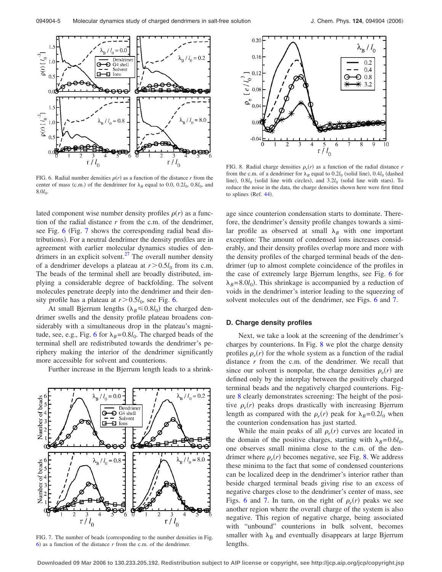<span id="page-4-0"></span>

FIG. 6. Radial number densities  $\rho(r)$  as a function of the distance *r* from the center of mass (c.m.) of the dendrimer for  $\lambda_B$  equal to 0.0, 0.2 $l_0$ , 0.8 $l_0$ , and  $8.0<sub>0</sub>$ .

lated component wise number density profiles  $\rho(r)$  as a function of the radial distance *r* from the c.m. of the dendrimer, see Fig. 6 (Fig. 7 shows the corresponding radial bead distributions). For a neutral dendrimer the density profiles are in agreement with earlier molecular dynamics studies of dendrimers in an explicit solvent. $27$  The overall number density of a dendrimer develops a plateau at  $r > 0.5l_0$  from its c.m. The beads of the terminal shell are broadly distributed, implying a considerable degree of backfolding. The solvent molecules penetrate deeply into the dendrimer and their density profile has a plateau at  $r > 0.5l_0$ , see Fig. 6.

At small Bjerrum lengths  $(\lambda_B \le 0.8 l_0)$  the charged dendrimer swells and the density profile plateau broadens considerably with a simultaneous drop in the plateau's magnitude, see, e.g., Fig. 6 for  $\lambda_B=0.8l_0$ . The charged beads of the terminal shell are redistributed towards the dendrimer's periphery making the interior of the dendrimer significantly more accessible for solvent and counterions.

Further increase in the Bjerrum length leads to a shrink-



FIG. 7. The number of beads (corresponding to the number densities in Fig.  $6$ ) as a function of the distance  $r$  from the c.m. of the dendrimer.



FIG. 8. Radial charge densities  $\rho_e(r)$  as a function of the radial distance *r* from the c.m. of a dendrimer for  $\lambda_B$  equal to  $0.2l_0$  (solid line),  $0.4l_0$  (dashed line),  $0.8l_0$  (solid line with circles), and  $3.2l_0$  (solid line with stars). To reduce the noise in the data, the charge densities shown here were first fitted to splines (Ref. [44](#page-7-0)).

age since counterion condensation starts to dominate. Therefore, the dendrimer's density profile changes towards a similar profile as observed at small  $\lambda_B$  with one important exception: The amount of condensed ions increases considerably, and their density profiles overlap more and more with the density profiles of the charged terminal beads of the dendrimer (up to almost complete coincidence of the profiles in the case of extremely large Bjerrum lengths, see Fig. 6 for  $\lambda_B$ =8.0*l*<sub>0</sub>). This shrinkage is accompanied by a reduction of voids in the dendrimer's interior leading to the squeezing of solvent molecules out of the dendrimer, see Figs. 6 and 7.

## **D. Charge density profiles**

Next, we take a look at the screening of the dendrimer's charges by counterions. In Fig. 8 we plot the charge density profiles  $\rho_e(r)$  for the whole system as a function of the radial distance *r* from the c.m. of the dendrimer. We recall that since our solvent is nonpolar, the charge densities  $\rho_e(r)$  are defined only by the interplay between the positively charged terminal beads and the negatively charged counterions. Figure 8 clearly demonstrates screening: The height of the positive  $\rho_e(r)$  peaks drops drastically with increasing Bjerrum length as compared with the  $\rho_e(r)$  peak for  $\lambda_B = 0.2 l_0$  when the counterion condensation has just started.

While the main peaks of all  $\rho_e(r)$  curves are located in the domain of the positive charges, starting with  $\lambda_B=0.6l_0$ , one observes small minima close to the c.m. of the dendrimer where  $\rho_e(r)$  becomes negative, see Fig. 8. We address these minima to the fact that some of condensed counterions can be localized deep in the dendrimer's interior rather than beside charged terminal beads giving rise to an excess of negative charges close to the dendrimer's center of mass, see Figs. 6 and 7. In turn, on the right of  $\rho_e(r)$  peaks we see another region where the overall charge of the system is also negative. This region of negative charge, being associated with "unbound" counterions in bulk solvent, becomes smaller with  $\lambda_B$  and eventually disappears at large Bjerrum lengths.

**Downloaded 09 Mar 2006 to 130.233.205.192. Redistribution subject to AIP license or copyright, see http://jcp.aip.org/jcp/copyright.jsp**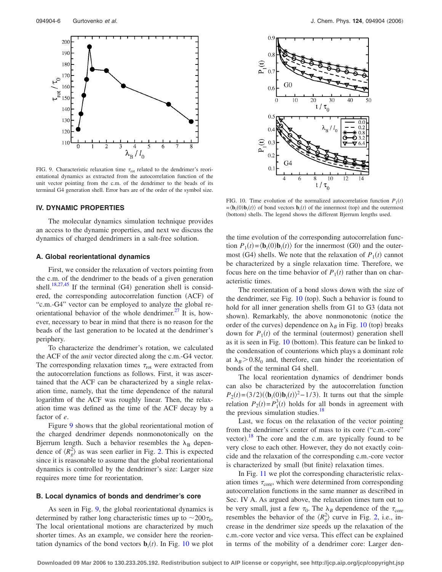

FIG. 9. Characteristic relaxation time  $\tau_{\text{rot}}$  related to the dendrimer's reorientational dynamics as extracted from the autocorrelation function of the unit vector pointing from the c.m. of the dendrimer to the beads of its terminal G4 generation shell. Error bars are of the order of the symbol size.

#### **IV. DYNAMIC PROPERTIES**

The molecular dynamics simulation technique provides an access to the dynamic properties, and next we discuss the dynamics of charged dendrimers in a salt-free solution.

#### **A. Global reorientational dynamics**

First, we consider the relaxation of vectors pointing from the c.m. of the dendrimer to the beads of a given generation shell.<sup>18,27,45</sup> If the terminal (G4) generation shell is considered, the corresponding autocorrelation function (ACF) of "c.m.-G4" vector can be employed to analyze the global reorientational behavior of the whole dendrimer. $^{27}$  It is, however, necessary to bear in mind that there is no reason for the beads of the last generation to be located at the dendrimer's periphery.

To characterize the dendrimer's rotation, we calculated the ACF of the *unit* vector directed along the c.m.-G4 vector. The corresponding relaxation times  $\tau_{\text{rot}}$  were extracted from the autocorrelation functions as follows. First, it was ascertained that the ACF can be characterized by a single relaxation time, namely, that the time dependence of the natural logarithm of the ACF was roughly linear. Then, the relaxation time was defined as the time of the ACF decay by a factor of *e*.

Figure 9 shows that the global reorientational motion of the charged dendrimer depends nonmonotonically on the Bjerrum length. Such a behavior resembles the  $\lambda_B$  dependence of  $\langle R_g^2 \rangle$  as was seen earlier in Fig. [2.](#page-2-0) This is expected since it is reasonable to assume that the global reorientational dynamics is controlled by the dendrimer's size: Larger size requires more time for reorientation.

# **B. Local dynamics of bonds and dendrimer's core**

As seen in Fig. 9, the global reorientational dynamics is determined by rather long characteristic times up to  $\sim 200\tau_0$ . The local orientational motions are characterized by much shorter times. As an example, we consider here the reorientation dynamics of the bond vectors  $\mathbf{b}_i(t)$ . In Fig. 10 we plot



FIG. 10. Time evolution of the normalized autocorrelation function  $P_1(t)$  $=$   $\langle \mathbf{b}_i(0) \mathbf{b}_i(t) \rangle$  of bond vectors  $\mathbf{b}_i(t)$  of the innermost (top) and the outermost (bottom) shells. The legend shows the different Bjerrum lengths used.

the time evolution of the corresponding autocorrelation function  $P_1(t) = \langle \mathbf{b}_i(0) \mathbf{b}_i(t) \rangle$  for the innermost (G0) and the outermost (G4) shells. We note that the relaxation of  $P_1(t)$  cannot be characterized by a single relaxation time. Therefore, we focus here on the time behavior of  $P_1(t)$  rather than on characteristic times.

The reorientation of a bond slows down with the size of the dendrimer, see Fig. 10 (top). Such a behavior is found to hold for all inner generation shells from G1 to G3 (data not shown). Remarkably, the above nonmonotonic (notice the order of the curves) dependence on  $\lambda_B$  in Fig. 10 (top) breaks down for  $P_1(t)$  of the terminal (outermost) generation shell as it is seen in Fig. 10 (bottom). This feature can be linked to the condensation of counterions which plays a dominant role at  $\lambda_B > 0.8 l_0$  and, therefore, can hinder the reorientation of bonds of the terminal G4 shell.

The local reorientation dynamics of dendrimer bonds can also be characterized by the autocorrelation function  $P_2(t) = (3/2)(\langle \mathbf{b}_i(0) \mathbf{b}_i(t) \rangle^2 - 1/3)$ . It turns out that the simple relation  $P_2(t) = P_1^3(t)$  holds for all bonds in agreement with the previous simulation studies.<sup>18</sup>

Last, we focus on the relaxation of the vector pointing from the dendrimer's center of mass to its core ("c.m.-core" vector).<sup>[18](#page-7-0)</sup> The core and the c.m. are typically found to be very close to each other. However, they do not exactly coincide and the relaxation of the corresponding c.m.-core vector is characterized by small (but finite) relaxation times.

In Fig. [11](#page-6-0) we plot the corresponding characteristic relaxation times  $\tau_{\text{core}}$ , which were determined from corresponding autocorrelation functions in the same manner as described in Sec. IV A. As argued above, the relaxation times turn out to be very small, just a few  $\tau_0$ . The  $\lambda_B$  dependence of the  $\tau_{\text{core}}$ resembles the behavior of the  $\langle R_g^2 \rangle$  curve in Fig. [2,](#page-2-0) i.e., increase in the dendrimer size speeds up the relaxation of the c.m.-core vector and vice versa. This effect can be explained in terms of the mobility of a dendrimer core: Larger den-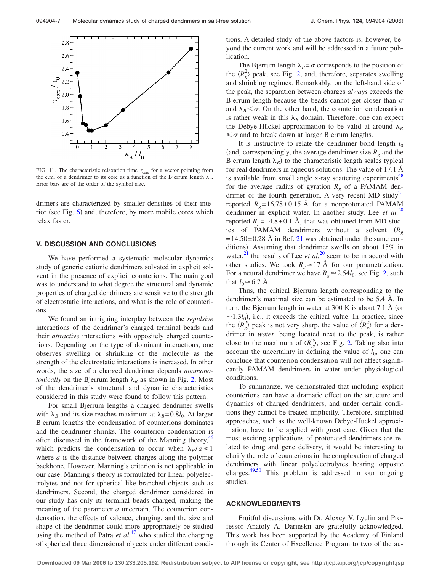<span id="page-6-0"></span>

FIG. 11. The characteristic relaxation time  $\tau_{\text{core}}$  for a vector pointing from the c.m. of a dendrimer to its core as a function of the Bjerrum length  $\lambda_B$ . Error bars are of the order of the symbol size.

drimers are characterized by smaller densities of their inte-rior (see Fig. [6](#page-4-0)) and, therefore, by more mobile cores which relax faster.

#### **V. DISCUSSION AND CONCLUSIONS**

We have performed a systematic molecular dynamics study of generic cationic dendrimers solvated in explicit solvent in the presence of explicit counterions. The main goal was to understand to what degree the structural and dynamic properties of charged dendrimers are sensitive to the strength of electrostatic interactions, and what is the role of counterions.

We found an intriguing interplay between the *repulsive* interactions of the dendrimer's charged terminal beads and their *attractive* interactions with oppositely charged counterions. Depending on the type of dominant interactions, one observes swelling or shrinking of the molecule as the strength of the electrostatic interactions is increased. In other words, the size of a charged dendrimer depends *nonmonotonically* on the Bjerrum length  $\lambda_B$  as shown in Fig. [2.](#page-2-0) Most of the dendrimer's structural and dynamic characteristics considered in this study were found to follow this pattern.

For small Bjerrum lengths a charged dendrimer swells with  $\lambda_B$  and its size reaches maximum at  $\lambda_B=0.8l_0$ . At larger Bjerrum lengths the condensation of counterions dominates and the dendrimer shrinks. The counterion condensation is often discussed in the framework of the Manning theory,<sup>46</sup> which predicts the condensation to occur when  $\lambda_B/a \ge 1$ where *a* is the distance between charges along the polymer backbone. However, Manning's criterion is not applicable in our case. Manning's theory is formulated for linear polyelectrolytes and not for spherical-like branched objects such as dendrimers. Second, the charged dendrimer considered in our study has only its terminal beads charged, making the meaning of the parameter *a* uncertain. The counterion condensation, the effects of valence, charging, and the size and shape of the dendrimer could [mor](#page-7-0)e appropriately be studied using the method of Patra  $et al.<sup>47</sup>$  who studied the charging of spherical three dimensional objects under different conditions. A detailed study of the above factors is, however, beyond the current work and will be addressed in a future publication.

The Bjerrum length  $\lambda_B = \sigma$  corresponds to the position of the  $\langle R_g^2 \rangle$  peak, see Fig. [2,](#page-2-0) and, therefore, separates swelling and shrinking regimes. Remarkably, on the left-hand side of the peak, the separation between charges *always* exceeds the Bjerrum length because the beads cannot get closer than  $\sigma$ and  $\lambda_B < \sigma$ . On the other hand, the counterion condensation is rather weak in this  $\lambda_B$  domain. Therefore, one can expect the Debye-Hückel approximation to be valid at around  $\lambda_B$  $\leq \sigma$  and to break down at larger Bjerrum lengths.

It is instructive to relate the dendrimer bond length  $l_0$ (and, correspondingly, the average dendrimer size  $R<sub>g</sub>$  and the Bjerrum length  $\lambda_B$ ) to the characteristic length scales typical for real dendrimers in aqueous solutions. The value of 17.1 Å is available from small angle x-ray scattering experiments<sup>48</sup> for the average radius of gyration  $R_g$  of a PAMAM dendrimer of the fourth generation. A very recent MD study<sup>21</sup> reported  $R<sub>g</sub> = 16.78 \pm 0.15$  Å for a nonprotonated PAMAM dendrimer in explicit water. In another study, Lee *et al.*[20](#page-7-0) reported  $R<sub>g</sub> = 14.8 \pm 0.1$  Å, that was obtained from MD studies of PAMAM dendrimers without a solvent *Rg*  $=14.50\pm0.28$  Å in Ref. [21](#page-7-0) was obtained under the same conditions). Assuming that dendrimer swells on about 15% in water, $^{21}$  the results of Lee *et al.*<sup>[20](#page-7-0)</sup> seem to be in accord with other studies. We took  $R_g \approx 17 \text{ Å}$  for our parametrization. For a neutral dendrimer we have  $R_g \approx 2.54 l_0$ , see Fig. [2,](#page-2-0) such that  $l_0 \approx 6.7$  Å.

Thus, the critical Bjerrum length corresponding to the dendrimer's maximal size can be estimated to be 5.4 Å. In turn, the Bjerrum length in water at  $300 \text{ K}$  is about 7.1 Å (or  $\sim$ 1.3*l*<sub>0</sub>), i.e., it exceeds the critical value. In practice, since the  $\langle R_g^2 \rangle$  peak is not very sharp, the value of  $\langle R_g^2 \rangle$  for a dendrimer in *water*, being located next to the peak, is rather close to the maximum of  $\langle R_g^2 \rangle$ , see Fig. [2.](#page-2-0) Taking also into account the uncertainty in defining the value of  $l_0$ , one can conclude that counterion condensation will not affect significantly PAMAM dendrimers in water under physiological conditions.

To summarize, we demonstrated that including explicit counterions can have a dramatic effect on the structure and dynamics of charged dendrimers, and under certain conditions they cannot be treated implicitly. Therefore, simplified approaches, such as the well-known Debye-Hückel approximation, have to be applied with great care. Given that the most exciting applications of protonated dendrimers are related to drug and gene delivery, it would be interesting to clarify the role of counterions in the complexation of charged dendrimers with linear polyelectrolytes bearing opposite charges[.49,50](#page-7-0) This problem is addressed in our ongoing studies.

#### **ACKNOWLEDGMENTS**

Fruitful discussions with Dr. Alexey V. Lyulin and Professor Anatoly A. Darinskii are gratefully acknowledged. This work has been supported by the Academy of Finland through its Center of Excellence Program to two of the au-